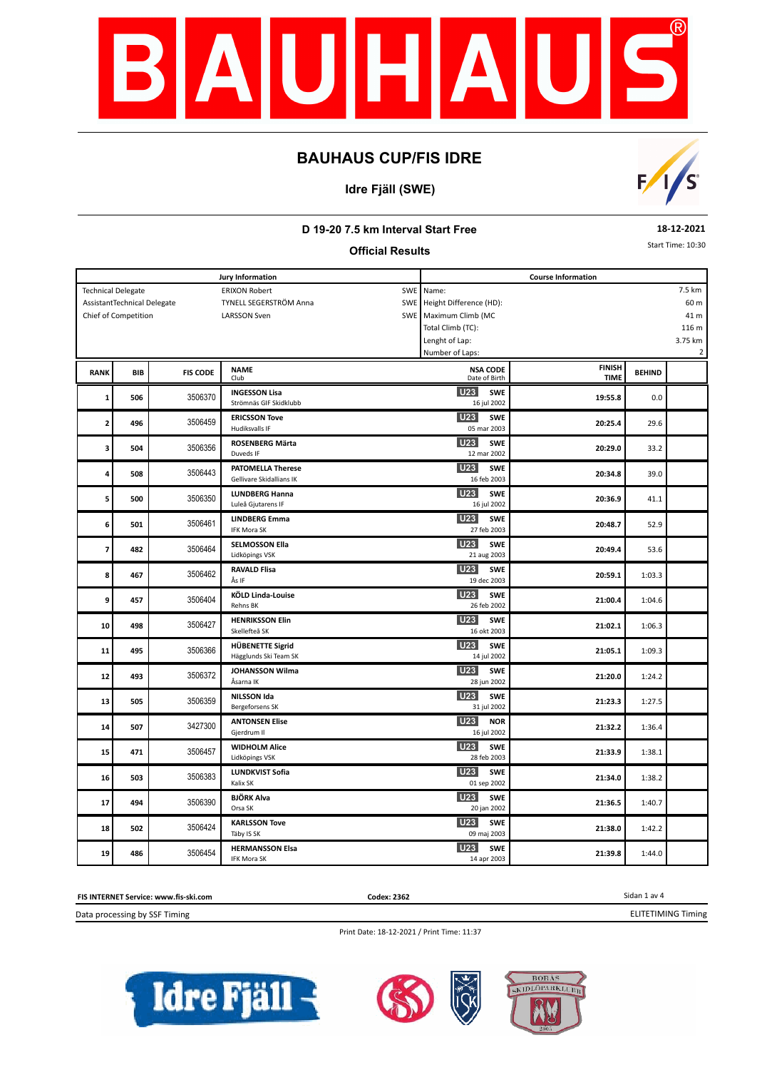

### **Idre Fjäll (SWE)**



### **D 19-20 7.5 km Interval Start Free**

#### **Official Results**

**18-12-2021**

Start Time: 10:30

|                         |                             |                 | <b>Jury Information</b>                          | <b>Course Information</b>               |               |               |                |  |  |  |  |
|-------------------------|-----------------------------|-----------------|--------------------------------------------------|-----------------------------------------|---------------|---------------|----------------|--|--|--|--|
|                         | <b>Technical Delegate</b>   |                 | <b>ERIXON Robert</b><br><b>SWE</b>               | Name:                                   |               |               | 7.5 km         |  |  |  |  |
|                         | AssistantTechnical Delegate |                 | TYNELL SEGERSTRÖM Anna<br>SWE                    | Height Difference (HD):                 |               |               | 60 m           |  |  |  |  |
|                         | Chief of Competition        |                 | <b>LARSSON Sven</b>                              | SWE Maximum Climb (MC<br>41 m           |               |               |                |  |  |  |  |
|                         |                             |                 |                                                  | Total Climb (TC):                       | 116 m         |               |                |  |  |  |  |
|                         |                             |                 |                                                  | Lenght of Lap:                          | 3.75 km       |               |                |  |  |  |  |
|                         |                             |                 |                                                  | Number of Laps:                         |               |               | $\overline{2}$ |  |  |  |  |
|                         |                             |                 | <b>NAME</b>                                      | <b>NSA CODE</b>                         | <b>FINISH</b> |               |                |  |  |  |  |
| <b>RANK</b>             | <b>BIB</b>                  | <b>FIS CODE</b> | Club                                             | Date of Birth                           | <b>TIME</b>   | <b>BEHIND</b> |                |  |  |  |  |
|                         |                             |                 | <b>INGESSON Lisa</b>                             | <b>U23</b><br><b>SWE</b>                |               |               |                |  |  |  |  |
| 1                       | 506                         | 3506370         | Strömnäs GIF Skidklubb                           | 16 jul 2002                             | 19:55.8       | 0.0           |                |  |  |  |  |
|                         |                             |                 | <b>ERICSSON Tove</b>                             | <b>U23</b><br><b>SWE</b>                |               |               |                |  |  |  |  |
| $\overline{2}$          | 496                         | 3506459         | <b>Hudiksvalls IF</b>                            | 05 mar 2003                             | 20:25.4       | 29.6          |                |  |  |  |  |
|                         |                             |                 |                                                  |                                         |               |               |                |  |  |  |  |
| 3                       | 504                         | 3506356         | ROSENBERG Märta<br>Duveds IF                     | <b>U23</b><br><b>SWE</b><br>12 mar 2002 | 20:29.0       | 33.2          |                |  |  |  |  |
|                         |                             |                 |                                                  |                                         |               |               |                |  |  |  |  |
| 4                       | 508                         | 3506443         | <b>PATOMELLA Therese</b>                         | <b>U23</b><br><b>SWE</b>                | 20:34.8       | 39.0          |                |  |  |  |  |
|                         |                             |                 | <b>Gellivare Skidallians IK</b>                  | 16 feb 2003                             |               |               |                |  |  |  |  |
| 5                       | 500                         | 3506350         | <b>LUNDBERG Hanna</b>                            | <b>U23</b><br><b>SWE</b>                | 20:36.9       | 41.1          |                |  |  |  |  |
|                         |                             |                 | Luleå Gjutarens IF                               | 16 jul 2002                             |               |               |                |  |  |  |  |
|                         |                             | 3506461         | <b>LINDBERG Emma</b>                             | U23<br><b>SWE</b>                       | 20:48.7       | 52.9          |                |  |  |  |  |
|                         | 6<br>501                    |                 | IFK Mora SK                                      | 27 feb 2003                             |               |               |                |  |  |  |  |
|                         |                             |                 | <b>SELMOSSON Ella</b>                            | U23<br><b>SWE</b>                       |               |               |                |  |  |  |  |
| $\overline{\mathbf{z}}$ | 482                         | 3506464         | Lidköpings VSK                                   | 21 aug 2003                             | 20:49.4       | 53.6          |                |  |  |  |  |
|                         |                             |                 | <b>RAVALD Flisa</b>                              | <b>U23</b><br><b>SWE</b>                |               |               |                |  |  |  |  |
| 8                       | 467                         | 3506462         | Ås IF                                            | 19 dec 2003                             | 20:59.1       | 1:03.3        |                |  |  |  |  |
|                         |                             |                 | KÖLD Linda-Louise                                | <b>U23</b><br><b>SWE</b>                |               |               |                |  |  |  |  |
| 9                       | 457                         | 3506404         | Rehns BK                                         | 26 feb 2002                             | 21:00.4       | 1:04.6        |                |  |  |  |  |
|                         |                             |                 | <b>HENRIKSSON Elin</b>                           | <b>U23</b><br><b>SWE</b>                |               |               |                |  |  |  |  |
| 10                      | 498                         | 3506427         | Skellefteå SK                                    | 16 okt 2003                             | 21:02.1       | 1:06.3        |                |  |  |  |  |
|                         |                             |                 |                                                  | <b>U23</b>                              |               |               |                |  |  |  |  |
| 11                      | 495                         | 3506366         | <b>HÜBENETTE Sigrid</b><br>Hägglunds Ski Team SK | <b>SWE</b><br>14 jul 2002               | 21:05.1       | 1:09.3        |                |  |  |  |  |
|                         |                             |                 |                                                  |                                         |               |               |                |  |  |  |  |
| 12                      | 493                         | 3506372         | <b>JOHANSSON Wilma</b>                           | <b>U23</b><br><b>SWE</b>                | 21:20.0       | 1:24.2        |                |  |  |  |  |
|                         |                             |                 | Åsarna IK                                        | 28 jun 2002                             |               |               |                |  |  |  |  |
| 13                      | 505                         | 3506359         | NILSSON Ida                                      | <b>U23</b><br><b>SWE</b>                | 21:23.3       | 1:27.5        |                |  |  |  |  |
|                         |                             |                 | Bergeforsens SK                                  | 31 jul 2002                             |               |               |                |  |  |  |  |
| 14                      | 507                         | 3427300         | <b>ANTONSEN Elise</b>                            | U23<br><b>NOR</b>                       | 21:32.2       | 1:36.4        |                |  |  |  |  |
|                         |                             |                 | Gjerdrum II                                      | 16 jul 2002                             |               |               |                |  |  |  |  |
|                         | 471                         | 3506457         | <b>WIDHOLM Alice</b>                             | <b>U23</b><br><b>SWE</b>                |               |               |                |  |  |  |  |
| 15                      |                             |                 | Lidköpings VSK                                   | 28 feb 2003                             | 21:33.9       | 1:38.1        |                |  |  |  |  |
|                         |                             |                 | <b>LUNDKVIST Sofia</b>                           | <b>U23</b><br><b>SWE</b>                |               |               |                |  |  |  |  |
| 16                      | 503                         | 3506383         | Kalix SK                                         | 01 sep 2002                             | 21:34.0       | 1:38.2        |                |  |  |  |  |
|                         |                             |                 | <b>BJÖRK Alva</b>                                | <b>U23</b><br><b>SWE</b>                |               |               |                |  |  |  |  |
| 17                      | 494                         | 3506390         | Orsa SK                                          | 20 jan 2002                             | 21:36.5       | 1:40.7        |                |  |  |  |  |
|                         |                             |                 | <b>KARLSSON Tove</b>                             | <b>U23</b><br><b>SWE</b>                |               |               |                |  |  |  |  |
| 18                      | 502                         | 3506424         | Täby IS SK                                       | 09 maj 2003                             | 21:38.0       | 1:42.2        |                |  |  |  |  |
|                         |                             |                 |                                                  |                                         |               |               |                |  |  |  |  |
| 19                      | 486                         | 3506454         | <b>HERMANSSON Elsa</b><br><b>IFK Mora SK</b>     | <b>U23</b><br><b>SWE</b><br>14 apr 2003 | 21:39.8       | 1:44.0        |                |  |  |  |  |
|                         |                             |                 |                                                  |                                         |               |               |                |  |  |  |  |



**Codex: 2362**

ELITETIMING Timing

Sidan 1 av 4

Print Date: 18-12-2021 / Print Time: 11:37





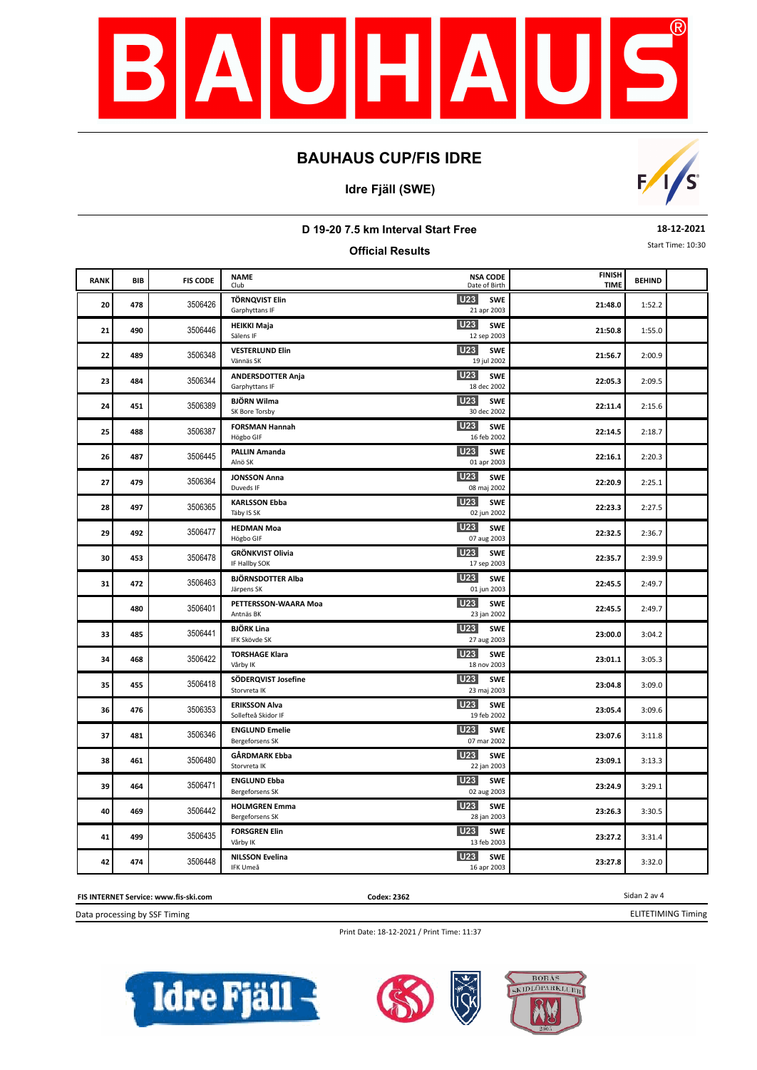

#### **Idre Fjäll (SWE)**



|                                              |            |                 |                                             | D 19-20 7.5 km Interval Start Free      |                              |               |  |  |  |  |  |
|----------------------------------------------|------------|-----------------|---------------------------------------------|-----------------------------------------|------------------------------|---------------|--|--|--|--|--|
| Start Time: 10:30<br><b>Official Results</b> |            |                 |                                             |                                         |                              |               |  |  |  |  |  |
| <b>RANK</b>                                  | <b>BIB</b> | <b>FIS CODE</b> | <b>NAME</b><br>Club                         | <b>NSA CODE</b><br>Date of Birth        | <b>FINISH</b><br><b>TIME</b> | <b>BEHIND</b> |  |  |  |  |  |
| 20                                           | 478        | 3506426         | <b>TÖRNQVIST Elin</b><br>Garphyttans IF     | <b>U23</b><br><b>SWE</b><br>21 apr 2003 | 21:48.0                      | 1:52.2        |  |  |  |  |  |
| 21                                           | 490        | 3506446         | <b>HEIKKI Maja</b><br>Sälens IF             | <b>U23</b><br><b>SWE</b><br>12 sep 2003 | 21:50.8                      | 1:55.0        |  |  |  |  |  |
| 22                                           | 489        | 3506348         | <b>VESTERLUND Elin</b><br>Vännäs SK         | <b>U23</b><br><b>SWE</b><br>19 jul 2002 | 21:56.7                      | 2:00.9        |  |  |  |  |  |
| 23                                           | 484        | 3506344         | <b>ANDERSDOTTER Anja</b><br>Garphyttans IF  | U23<br><b>SWE</b><br>18 dec 2002        | 22:05.3                      | 2:09.5        |  |  |  |  |  |
| 24                                           | 451        | 3506389         | <b>BJÖRN Wilma</b><br>SK Bore Torsby        | <b>U23</b><br><b>SWE</b><br>30 dec 2002 | 22:11.4                      | 2:15.6        |  |  |  |  |  |
| 25                                           | 488        | 3506387         | <b>FORSMAN Hannah</b><br>Högbo GIF          | <b>U23</b><br><b>SWE</b><br>16 feb 2002 | 22:14.5                      | 2:18.7        |  |  |  |  |  |
| 26                                           | 487        | 3506445         | <b>PALLIN Amanda</b><br>Alnö SK             | <b>U23</b><br><b>SWE</b><br>01 apr 2003 | 22:16.1                      | 2:20.3        |  |  |  |  |  |
| 27                                           | 479        | 3506364         | <b>JONSSON Anna</b><br>Duveds IF            | U23<br><b>SWE</b><br>08 maj 2002        | 22:20.9                      | 2:25.1        |  |  |  |  |  |
| 28                                           | 497        | 3506365         | <b>KARLSSON Ebba</b><br>Täby IS SK          | <b>U23</b><br><b>SWE</b><br>02 jun 2002 | 22:23.3                      | 2:27.5        |  |  |  |  |  |
| 29                                           | 492        | 3506477         | <b>HEDMAN Moa</b><br>Högbo GIF              | <b>U23</b><br><b>SWE</b><br>07 aug 2003 | 22:32.5                      | 2:36.7        |  |  |  |  |  |
| 30                                           | 453        | 3506478         | <b>GRÖNKVIST Olivia</b><br>IF Hallby SOK    | <b>U23</b><br><b>SWE</b><br>17 sep 2003 | 22:35.7                      | 2:39.9        |  |  |  |  |  |
| 31                                           | 472        | 3506463         | <b>BJÖRNSDOTTER Alba</b><br>Järpens SK      | U23<br><b>SWE</b><br>01 jun 2003        | 22:45.5                      | 2:49.7        |  |  |  |  |  |
|                                              | 480        | 3506401         | PETTERSSON-WAARA Moa<br>Antnäs BK           | <b>U23</b><br><b>SWE</b><br>23 jan 2002 | 22:45.5                      | 2:49.7        |  |  |  |  |  |
| 33                                           | 485        | 3506441         | <b>BJÖRK Lina</b><br>IFK Skövde SK          | <b>U23</b><br><b>SWE</b><br>27 aug 2003 | 23:00.0                      | 3:04.2        |  |  |  |  |  |
| 34                                           | 468        | 3506422         | <b>TORSHAGE Klara</b><br>Vårby IK           | U23<br><b>SWE</b><br>18 nov 2003        | 23:01.1                      | 3:05.3        |  |  |  |  |  |
| 35                                           | 455        | 3506418         | SÖDERQVIST Josefine<br>Storvreta IK         | <b>U23</b><br><b>SWE</b><br>23 maj 2003 | 23:04.8                      | 3:09.0        |  |  |  |  |  |
| 36                                           | 476        | 3506353         | <b>ERIKSSON Alva</b><br>Sollefteå Skidor IF | <b>U23</b><br><b>SWE</b><br>19 feb 2002 | 23:05.4                      | 3:09.6        |  |  |  |  |  |
| 37                                           | 481        | 3506346         | <b>ENGLUND Emelie</b><br>Bergeforsens SK    | <b>U23</b><br><b>SWE</b><br>07 mar 2002 | 23:07.6                      | 3:11.8        |  |  |  |  |  |
| 38                                           | 461        | 3506480         | GÅRDMARK Ebba<br>Storvreta IK               | U23<br><b>SWE</b><br>22 jan 2003        | 23:09.1                      | 3:13.3        |  |  |  |  |  |
| 39                                           | 464        | 3506471         | <b>ENGLUND Ebba</b><br>Bergeforsens SK      | <b>U23</b><br><b>SWE</b><br>02 aug 2003 | 23:24.9                      | 3:29.1        |  |  |  |  |  |
| 40                                           | 469        | 3506442         | <b>HOLMGREN Emma</b><br>Bergeforsens SK     | U23<br><b>SWE</b><br>28 jan 2003        | 23:26.3                      | 3:30.5        |  |  |  |  |  |
| 41                                           | 499        | 3506435         | <b>FORSGREN Elin</b><br>Vårby IK            | <b>U23</b><br><b>SWE</b><br>13 feb 2003 | 23:27.2                      | 3:31.4        |  |  |  |  |  |
| 42                                           | 474        | 3506448         | <b>NILSSON Evelina</b><br><b>IFK Umeå</b>   | <b>U23</b><br><b>SWE</b><br>16 apr 2003 | 23:27.8                      | 3:32.0        |  |  |  |  |  |

Print Date: 18-12-2021 / Print Time: 11:37

**Codex: 2362**



Data processing by SSF Timing **FIS INTERNET Service: www.fis-ski.com**





ELITETIMING Timing

Sidan 2 av 4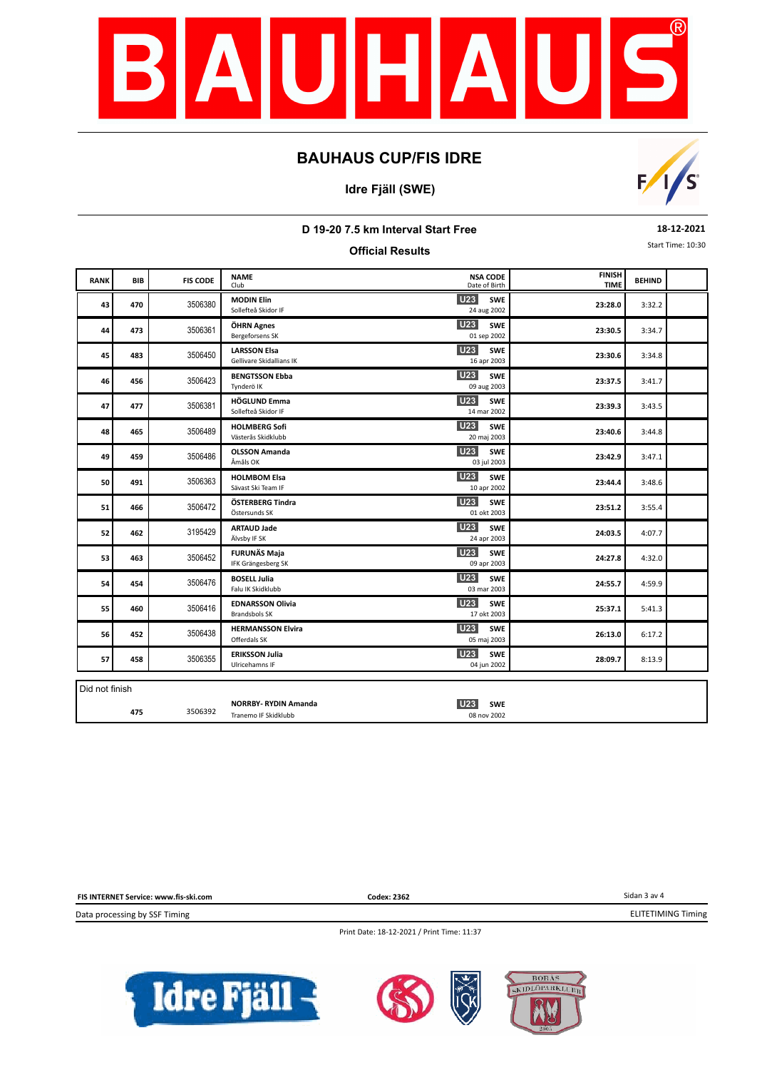

### **Idre Fjäll (SWE)**



| D 19-20 7.5 km Interval Start Free |                                              |                 |                                                 |                                         |                              |               |  |  |  |  |  |  |
|------------------------------------|----------------------------------------------|-----------------|-------------------------------------------------|-----------------------------------------|------------------------------|---------------|--|--|--|--|--|--|
|                                    | Start Time: 10:30<br><b>Official Results</b> |                 |                                                 |                                         |                              |               |  |  |  |  |  |  |
| <b>RANK</b>                        | BIB                                          | <b>FIS CODE</b> | <b>NAME</b><br>Club                             | <b>NSA CODE</b><br>Date of Birth        | <b>FINISH</b><br><b>TIME</b> | <b>BEHIND</b> |  |  |  |  |  |  |
| 43                                 | 470                                          | 3506380         | <b>MODIN Elin</b><br>Sollefteå Skidor IF        | <b>U23</b><br><b>SWE</b><br>24 aug 2002 | 23:28.0                      | 3:32.2        |  |  |  |  |  |  |
| 44                                 | 473                                          | 3506361         | ÖHRN Agnes<br>Bergeforsens SK                   | <b>U23</b><br><b>SWE</b><br>01 sep 2002 | 23:30.5                      | 3:34.7        |  |  |  |  |  |  |
| 45                                 | 483                                          | 3506450         | <b>LARSSON Elsa</b><br>Gellivare Skidallians IK | <b>U23</b><br><b>SWE</b><br>16 apr 2003 | 23:30.6                      | 3:34.8        |  |  |  |  |  |  |
| 46                                 | 456                                          | 3506423         | <b>BENGTSSON Ebba</b><br>Tynderö IK             | U23<br><b>SWE</b><br>09 aug 2003        | 23:37.5                      | 3:41.7        |  |  |  |  |  |  |
| 47                                 | 477                                          | 3506381         | HÖGLUND Emma<br>Sollefteå Skidor IF             | <b>U23</b><br><b>SWE</b><br>14 mar 2002 | 23:39.3                      | 3:43.5        |  |  |  |  |  |  |
| 48                                 | 465                                          | 3506489         | <b>HOLMBERG Sofi</b><br>Västerås Skidklubb      | <b>U23</b><br><b>SWE</b><br>20 maj 2003 | 23:40.6                      | 3:44.8        |  |  |  |  |  |  |
| 49                                 | 459                                          | 3506486         | <b>OLSSON Amanda</b><br>Åmåls OK                | <b>U23</b><br><b>SWE</b><br>03 jul 2003 | 23:42.9                      | 3:47.1        |  |  |  |  |  |  |
| 50                                 | 491                                          | 3506363         | <b>HOLMBOM Elsa</b><br>Sävast Ski Team IF       | <b>U23</b><br><b>SWE</b><br>10 apr 2002 | 23:44.4                      | 3:48.6        |  |  |  |  |  |  |
| 51                                 | 466                                          | 3506472         | ÖSTERBERG Tindra<br>Östersunds SK               | <b>U23</b><br><b>SWE</b><br>01 okt 2003 | 23:51.2                      | 3:55.4        |  |  |  |  |  |  |
| 52                                 | 462                                          | 3195429         | <b>ARTAUD Jade</b><br>Älvsby IF SK              | <b>U23</b><br><b>SWE</b><br>24 apr 2003 | 24:03.5                      | 4:07.7        |  |  |  |  |  |  |
| 53                                 | 463                                          | 3506452         | <b>FURUNÄS Maja</b><br>IFK Grängesberg SK       | U23<br><b>SWE</b><br>09 apr 2003        | 24:27.8                      | 4:32.0        |  |  |  |  |  |  |
| 54                                 | 454                                          | 3506476         | <b>BOSELL Julia</b><br>Falu IK Skidklubb        | <b>U23</b><br><b>SWE</b><br>03 mar 2003 | 24:55.7                      | 4:59.9        |  |  |  |  |  |  |
| 55                                 | 460                                          | 3506416         | <b>EDNARSSON Olivia</b><br><b>Brandsbols SK</b> | <b>U23</b><br><b>SWE</b><br>17 okt 2003 | 25:37.1                      | 5:41.3        |  |  |  |  |  |  |
| 56                                 | 452                                          | 3506438         | <b>HERMANSSON Elvira</b><br>Offerdals SK        | <b>U23</b><br><b>SWE</b><br>05 maj 2003 | 26:13.0                      | 6:17.2        |  |  |  |  |  |  |
| 57                                 | 458                                          | 3506355         | <b>ERIKSSON Julia</b><br>Ulricehamns IF         | <b>U23</b><br><b>SWE</b><br>04 jun 2002 | 28:09.7                      | 8:13.9        |  |  |  |  |  |  |

Did not finish

**475** 3506392 **NORRBY- RYDIN Amanda** Tranemo IF Skidklubb **1999** nov 2002 **U23 SWE**

**FIS INTERNET Service: www.fis-ski.com**

**Codex: 2362**

Sidan 3 av 4

Data processing by SSF Timing

Print Date: 18-12-2021 / Print Time: 11:37







ELITETIMING Timing